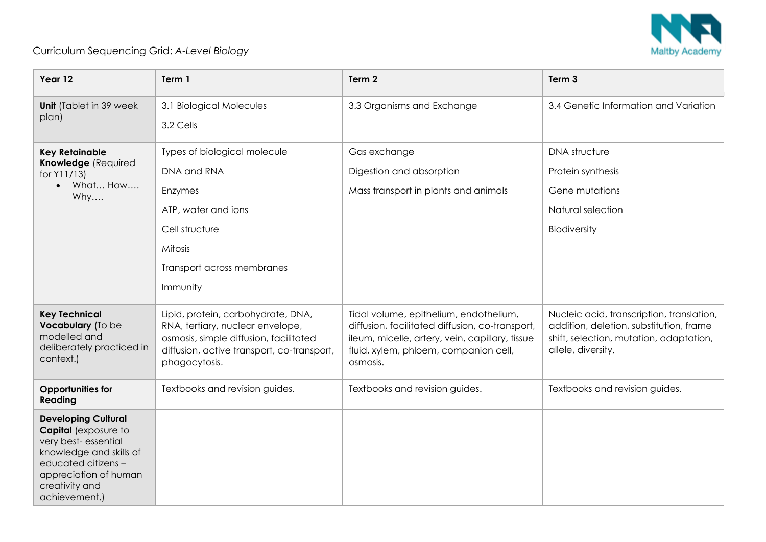

## Curriculum Sequencing Grid: *A-Level Biology*

| Year 12                                                                                                                                                                                        | Term 1                                                                                                                                                                          | Term 2                                                                                                                                                                                            | Term 3                                                                                                                                                |
|------------------------------------------------------------------------------------------------------------------------------------------------------------------------------------------------|---------------------------------------------------------------------------------------------------------------------------------------------------------------------------------|---------------------------------------------------------------------------------------------------------------------------------------------------------------------------------------------------|-------------------------------------------------------------------------------------------------------------------------------------------------------|
| <b>Unit</b> (Tablet in 39 week<br>plan)                                                                                                                                                        | 3.1 Biological Molecules<br>3.2 Cells                                                                                                                                           | 3.3 Organisms and Exchange                                                                                                                                                                        | 3.4 Genetic Information and Variation                                                                                                                 |
| <b>Key Retainable</b><br>Knowledge (Required<br>for Y11/13)<br>$\bullet$ What How<br>Why                                                                                                       | Types of biological molecule<br>DNA and RNA<br>Enzymes<br>ATP, water and ions<br>Cell structure<br>Mitosis<br>Transport across membranes<br>Immunity                            | Gas exchange<br>Digestion and absorption<br>Mass transport in plants and animals                                                                                                                  | <b>DNA</b> structure<br>Protein synthesis<br>Gene mutations<br>Natural selection<br>Biodiversity                                                      |
| <b>Key Technical</b><br>Vocabulary (To be<br>modelled and<br>deliberately practiced in<br>context.)                                                                                            | Lipid, protein, carbohydrate, DNA,<br>RNA, tertiary, nuclear envelope,<br>osmosis, simple diffusion, facilitated<br>diffusion, active transport, co-transport,<br>phagocytosis. | Tidal volume, epithelium, endothelium,<br>diffusion, facilitated diffusion, co-transport,<br>ileum, micelle, artery, vein, capillary, tissue<br>fluid, xylem, phloem, companion cell,<br>osmosis. | Nucleic acid, transcription, translation,<br>addition, deletion, substitution, frame<br>shift, selection, mutation, adaptation,<br>allele, diversity. |
| <b>Opportunities for</b><br>Reading                                                                                                                                                            | Textbooks and revision guides.                                                                                                                                                  | Textbooks and revision guides.                                                                                                                                                                    | Textbooks and revision guides.                                                                                                                        |
| <b>Developing Cultural</b><br><b>Capital</b> (exposure to<br>very best-essential<br>knowledge and skills of<br>educated citizens -<br>appreciation of human<br>creativity and<br>achievement.) |                                                                                                                                                                                 |                                                                                                                                                                                                   |                                                                                                                                                       |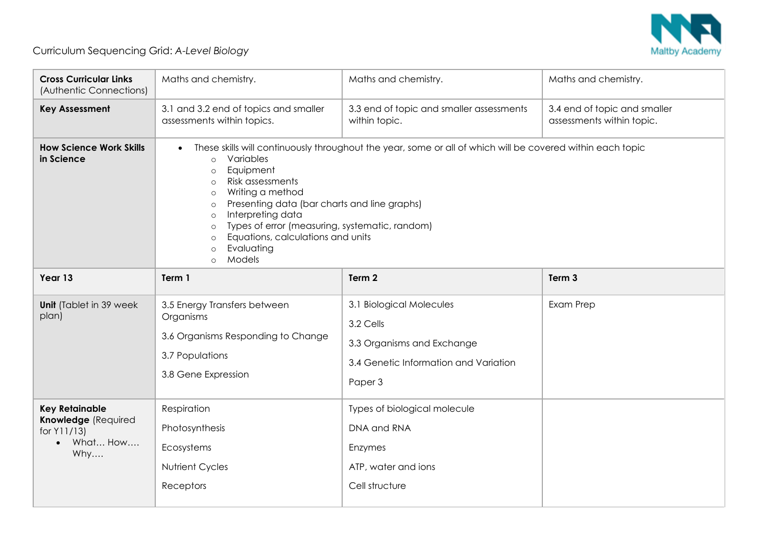

## Curriculum Sequencing Grid: *A-Level Biology*

| <b>Cross Curricular Links</b><br>(Authentic Connections)                                    | Maths and chemistry.                                                                                                                                                                                                                                                                                                                                                                                                                                                           | Maths and chemistry.                                                                                                    | Maths and chemistry.                                      |
|---------------------------------------------------------------------------------------------|--------------------------------------------------------------------------------------------------------------------------------------------------------------------------------------------------------------------------------------------------------------------------------------------------------------------------------------------------------------------------------------------------------------------------------------------------------------------------------|-------------------------------------------------------------------------------------------------------------------------|-----------------------------------------------------------|
| <b>Key Assessment</b>                                                                       | 3.1 and 3.2 end of topics and smaller<br>assessments within topics.                                                                                                                                                                                                                                                                                                                                                                                                            | 3.3 end of topic and smaller assessments<br>within topic.                                                               | 3.4 end of topic and smaller<br>assessments within topic. |
| <b>How Science Work Skills</b><br>in Science                                                | These skills will continuously throughout the year, some or all of which will be covered within each topic<br>Variables<br>$\circ$<br>Equipment<br>$\circ$<br>Risk assessments<br>$\circ$<br>Writing a method<br>$\circ$<br>Presenting data (bar charts and line graphs)<br>$\circ$<br>Interpreting data<br>$\circ$<br>Types of error (measuring, systematic, random)<br>$\circ$<br>Equations, calculations and units<br>$\circ$<br>Evaluating<br>$\circ$<br>Models<br>$\circ$ |                                                                                                                         |                                                           |
| Year 13                                                                                     | Term 1                                                                                                                                                                                                                                                                                                                                                                                                                                                                         | Term 2                                                                                                                  | Term 3                                                    |
| <b>Unit</b> (Tablet in 39 week<br>plan)                                                     | 3.5 Energy Transfers between<br>Organisms<br>3.6 Organisms Responding to Change<br>3.7 Populations<br>3.8 Gene Expression                                                                                                                                                                                                                                                                                                                                                      | 3.1 Biological Molecules<br>3.2 Cells<br>3.3 Organisms and Exchange<br>3.4 Genetic Information and Variation<br>Paper 3 | Exam Prep                                                 |
| <b>Key Retainable</b><br>Knowledge (Required<br>for Y11/13)<br>What How<br>$\bullet$<br>Why | Respiration<br>Photosynthesis<br>Ecosystems<br>Nutrient Cycles<br>Receptors                                                                                                                                                                                                                                                                                                                                                                                                    | Types of biological molecule<br>DNA and RNA<br>Enzymes<br>ATP, water and ions<br>Cell structure                         |                                                           |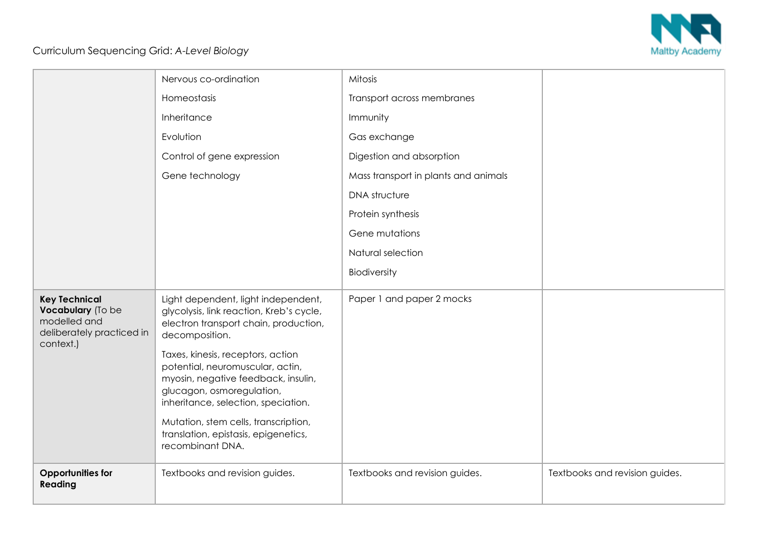

## Curriculum Sequencing Grid: *A-Level Biology*

|                                                                                                     | Nervous co-ordination                                                                                                                                                                                                                                                                                                                                                                                                              | Mitosis                              |                                |
|-----------------------------------------------------------------------------------------------------|------------------------------------------------------------------------------------------------------------------------------------------------------------------------------------------------------------------------------------------------------------------------------------------------------------------------------------------------------------------------------------------------------------------------------------|--------------------------------------|--------------------------------|
|                                                                                                     | Homeostasis                                                                                                                                                                                                                                                                                                                                                                                                                        | Transport across membranes           |                                |
|                                                                                                     | Inheritance                                                                                                                                                                                                                                                                                                                                                                                                                        | Immunity                             |                                |
|                                                                                                     | Evolution                                                                                                                                                                                                                                                                                                                                                                                                                          | Gas exchange                         |                                |
|                                                                                                     | Control of gene expression                                                                                                                                                                                                                                                                                                                                                                                                         | Digestion and absorption             |                                |
|                                                                                                     | Gene technology                                                                                                                                                                                                                                                                                                                                                                                                                    | Mass transport in plants and animals |                                |
|                                                                                                     |                                                                                                                                                                                                                                                                                                                                                                                                                                    | <b>DNA</b> structure                 |                                |
|                                                                                                     |                                                                                                                                                                                                                                                                                                                                                                                                                                    | Protein synthesis                    |                                |
|                                                                                                     |                                                                                                                                                                                                                                                                                                                                                                                                                                    | Gene mutations                       |                                |
|                                                                                                     |                                                                                                                                                                                                                                                                                                                                                                                                                                    | Natural selection                    |                                |
|                                                                                                     |                                                                                                                                                                                                                                                                                                                                                                                                                                    | Biodiversity                         |                                |
| <b>Key Technical</b><br>Vocabulary (To be<br>modelled and<br>deliberately practiced in<br>context.) | Light dependent, light independent,<br>glycolysis, link reaction, Kreb's cycle,<br>electron transport chain, production,<br>decomposition.<br>Taxes, kinesis, receptors, action<br>potential, neuromuscular, actin,<br>myosin, negative feedback, insulin,<br>glucagon, osmoregulation,<br>inheritance, selection, speciation.<br>Mutation, stem cells, transcription,<br>translation, epistasis, epigenetics,<br>recombinant DNA. | Paper 1 and paper 2 mocks            |                                |
| <b>Opportunities for</b><br>Reading                                                                 | Textbooks and revision guides.                                                                                                                                                                                                                                                                                                                                                                                                     | Textbooks and revision guides.       | Textbooks and revision guides. |